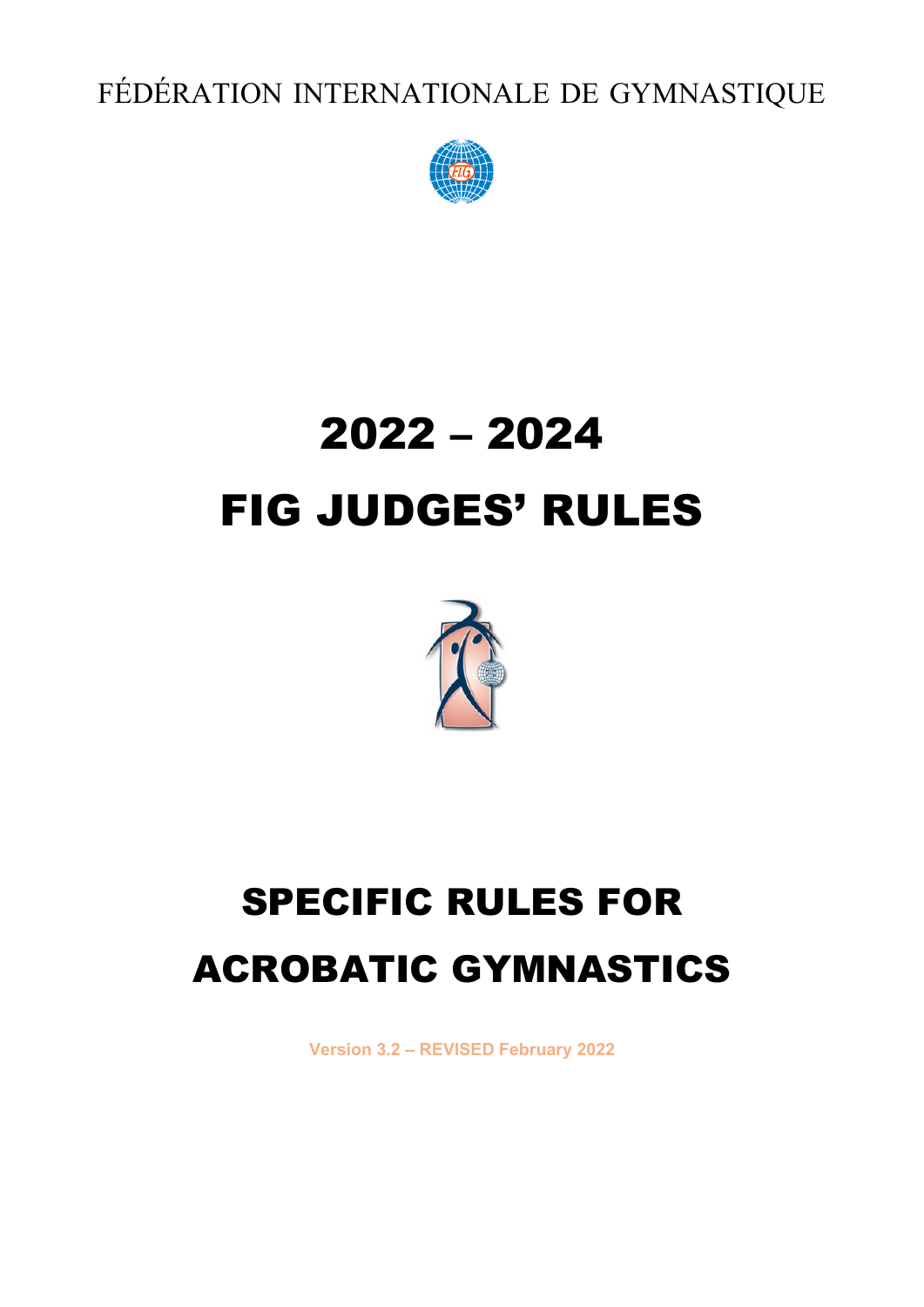FÉDÉRATION INTERNATIONALE DE GYMNASTIQUE



# 2022 – 2024 FIG JUDGES' RULES



## SPECIFIC RULES FOR ACROBATIC GYMNASTICS

**Version 3.2 – REVISED February 2022**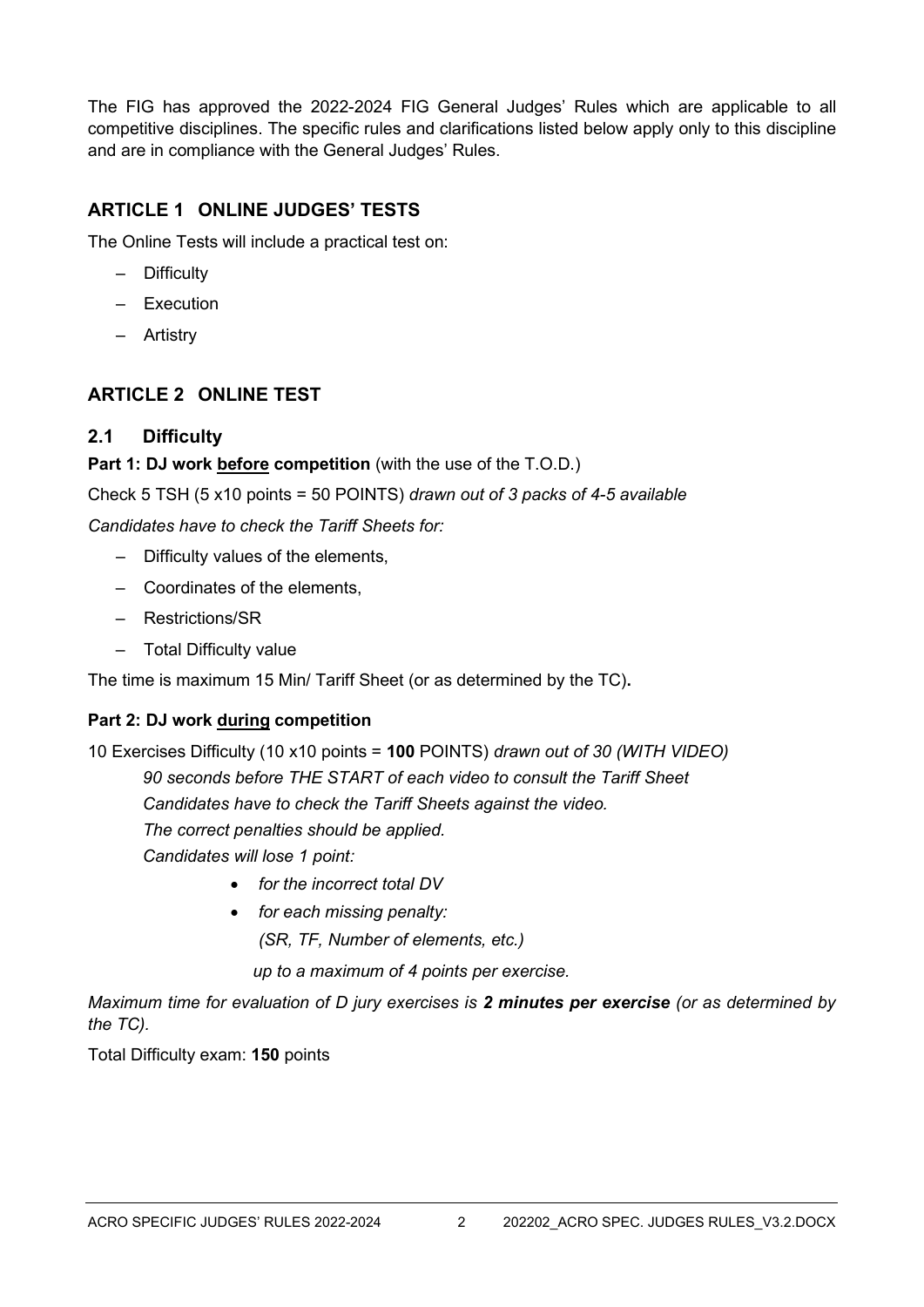The FIG has approved the 2022-2024 FIG General Judges' Rules which are applicable to all competitive disciplines. The specific rules and clarifications listed below apply only to this discipline and are in compliance with the General Judges' Rules.

## **ARTICLE 1 ONLINE JUDGES' TESTS**

The Online Tests will include a practical test on:

- Difficulty
- Execution
- Artistry

## **ARTICLE 2 ONLINE TEST**

#### **2.1 Difficulty**

#### **Part 1: DJ work before competition** (with the use of the T.O.D.)

Check 5 TSH (5 x10 points = 50 POINTS) *drawn out of 3 packs of 4-5 available* 

*Candidates have to check the Tariff Sheets for:*

- Difficulty values of the elements,
- Coordinates of the elements,
- Restrictions/SR
- Total Difficulty value

The time is maximum 15 Min/ Tariff Sheet (or as determined by the TC)**.**

#### **Part 2: DJ work during competition**

10 Exercises Difficulty (10 x10 points = **100** POINTS) *drawn out of 30 (WITH VIDEO)*

*90 seconds before THE START of each video to consult the Tariff Sheet*

*Candidates have to check the Tariff Sheets against the video.* 

*The correct penalties should be applied.*

*Candidates will lose 1 point:*

- *for the incorrect total DV*
- *for each missing penalty:*

*(SR, TF, Number of elements, etc.)*

*up to a maximum of 4 points per exercise.*

*Maximum time for evaluation of D jury exercises is 2 minutes per exercise (or as determined by the TC).*

Total Difficulty exam: **150** points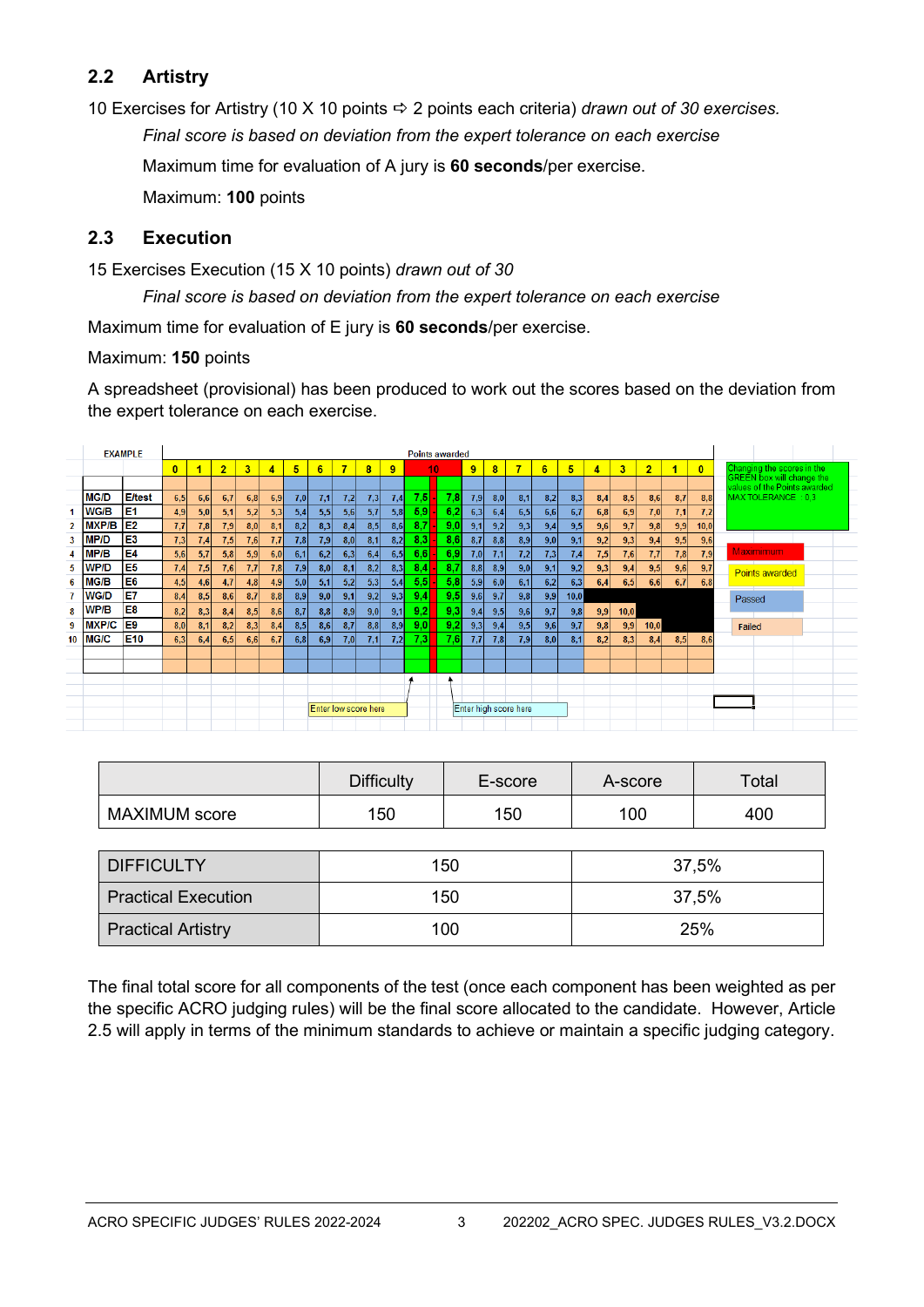## **2.2 Artistry**

10 Exercises for Artistry (10 X 10 points 2 points each criteria) *drawn out of 30 exercises.*

*Final score is based on deviation from the expert tolerance on each exercise*

Maximum time for evaluation of A jury is **60 seconds**/per exercise.

Maximum: **100** points

## **2.3 Execution**

15 Exercises Execution (15 X 10 points) *drawn out of 30*

*Final score is based on deviation from the expert tolerance on each exercise*

Maximum time for evaluation of E jury is **60 seconds**/per exercise.

Maximum: **150** points

A spreadsheet (provisional) has been produced to work out the scores based on the deviation from the expert tolerance on each exercise.

|    |              | <b>EXAMPLE</b>  | <b>Points awarded</b> |     |                |      |     |     |                      |                |     |     |                       |     |     |     |     |     |      |     |      |                |     |              |                                                                  |
|----|--------------|-----------------|-----------------------|-----|----------------|------|-----|-----|----------------------|----------------|-----|-----|-----------------------|-----|-----|-----|-----|-----|------|-----|------|----------------|-----|--------------|------------------------------------------------------------------|
|    |              |                 | $\bf{0}$              |     | $\overline{2}$ | 3    | 4   | 5   | 6                    | $\overline{7}$ | 8   | 9   |                       | 10  | 9   | 8   | 7   | 6   | 5    | 4   | 3    | $\overline{2}$ | 1   | $\mathbf{0}$ | Changing the scores in the                                       |
|    |              |                 |                       |     |                |      |     |     |                      |                |     |     |                       |     |     |     |     |     |      |     |      |                |     |              | <b>GREEN box will change the</b><br>values of the Points awarded |
|    | <b>MG/D</b>  | <b>E/test</b>   | 6,5                   | 6,6 | 6,7            | 6,8  | 6,9 | 7,0 | 7,1                  | 7,2            | 7,3 | 7,4 | 7,5                   | 7.8 | 7,9 | 8,0 | 8,1 | 8,2 | 8,3  | 8,4 | 8,5  | 8,6            | 8,7 | 8.8          | MAX TOLERANCE: 0.3                                               |
|    | <b>WG/B</b>  | E <sub>1</sub>  | 4,9                   | 5,0 | 5,1            | 5,2  | 5,3 | 5,4 | 5,5                  | 5,6            | 5,7 | 5,8 | 5,9                   | 6,2 | 6,3 | 6,4 | 6,5 | 6,6 | 6,7  | 6,8 | 6,9  | 7,0            | 7,1 | 7,2          |                                                                  |
|    | <b>MXP/B</b> | E <sub>2</sub>  | 7.7                   | 7,8 | 7,9            | 8,0  | 8,1 | 8,2 | 8,3                  | 8,4            | 8,5 | 8,6 | 8.7                   | 9.0 | 9,1 | 9,2 | 9,3 | 9,4 | 9,5  | 9,6 | 9,7  | 9,8            | 9,9 | 10,0         |                                                                  |
|    | MP/D         | E3              | 7.3                   | 7,4 | 7,5            | 7,6  | 7.7 | 7,8 | 7,9                  | 8,0            | 8,1 | 8,2 | 8,3                   | 8,6 | 8,7 | 8,8 | 8,9 | 9,0 | 9,1  | 9,2 | 9,3  | 9,4            | 9,5 | 9,6          |                                                                  |
|    | MP/B         | E4              | 5.6                   | 5,7 | 5,8            | 5,9  | 6,0 | 6,1 | 6,2                  | 6,3            | 6,4 | 6,5 | 6,6                   | 6,9 | 7,0 | 7,1 | 7,2 | 7,3 | 7,4  | 7,5 | 7,6  | 7,7            | 7.8 | 7,9          | Maximimum                                                        |
|    | WP/D         | E <sub>5</sub>  | 7,4                   | 7,5 | 7,6            | 7,7  | 7,8 | 7,9 | 8,0                  | 8,1            | 8,2 | 8,3 | 8,4                   | 8.7 | 8,8 | 8,9 | 9,0 | 9,1 | 9,2  | 9,3 | 9,4  | 9,5            | 9,6 | 9,7          | <b>Points awarded</b>                                            |
|    | MG/B         | E <sub>6</sub>  | 4.5                   | 4,6 | 4,7            | 4.8  | 4.9 | 5,0 | 5,1                  | 5,2            | 5,3 | 5,4 | 5,5                   | 5,8 | 5,9 | 6,0 | 6,1 | 6,2 | 6,3  | 6,4 | 6,5  | 6, 6           | 6,7 | 6,8          |                                                                  |
|    | WG/D         | E7              | 8.4                   | 8,5 | 8,6            | 8.7  | 8.8 | 8,9 | 9,0                  | 9,1            | 9,2 | 9,3 | 9,4                   | 9.5 | 9,6 | 9,7 | 9,8 | 9,9 | 10,0 |     |      |                |     |              | Passed                                                           |
|    | WP/B         | E <sub>8</sub>  | 8.2                   | 8,3 | 8,4            | 8,5  | 8,6 | 8,7 | 8,8                  | 8,9            | 9,0 | 9,1 | 9,2                   | 9,3 | 9,4 | 9,5 | 9,6 | 9,7 | 9,8  | 9,9 | 10,0 |                |     |              |                                                                  |
|    | <b>MXP/C</b> | E <sub>9</sub>  | 8.0 <sub>1</sub>      | 8,1 | 8,2            | 8,3  | 8,4 | 8,5 | 8,6                  | 8,7            | 8,8 | 8,9 | 9,0                   | 9,2 | 9,3 | 9,4 | 9,5 | 9,6 | 9,7  | 9,8 | 9,9  | 10,0           |     |              | Failed                                                           |
| 10 | <b>MG/C</b>  | E <sub>10</sub> | 6.3                   | 6,4 | 6,5            | 6, 6 | 6,7 | 6,8 | 6,9                  | 7,0            | 7,1 | 7,2 | 7,3                   | 7.6 | 7,7 | 7,8 | 7,9 | 8,0 | 8,1  | 8,2 | 8,3  | 8,4            | 8,5 | 8.6          |                                                                  |
|    |              |                 |                       |     |                |      |     |     |                      |                |     |     |                       |     |     |     |     |     |      |     |      |                |     |              |                                                                  |
|    |              |                 |                       |     |                |      |     |     |                      |                |     |     |                       |     |     |     |     |     |      |     |      |                |     |              |                                                                  |
|    |              |                 |                       |     |                |      |     |     |                      |                |     |     |                       |     |     |     |     |     |      |     |      |                |     |              |                                                                  |
|    |              |                 |                       |     |                |      |     |     |                      |                |     |     |                       |     |     |     |     |     |      |     |      |                |     |              |                                                                  |
|    |              |                 |                       |     |                |      |     |     | Enter low score here |                |     |     | Enter high score here |     |     |     |     |     |      |     |      |                |     |              |                                                                  |
|    |              |                 |                       |     |                |      |     |     |                      |                |     |     |                       |     |     |     |     |     |      |     |      |                |     |              |                                                                  |

|                      | <b>Difficulty</b> | E-score | A-score | Total |
|----------------------|-------------------|---------|---------|-------|
| <b>MAXIMUM</b> score | 150               | 150     | 100     | 400   |

| <b>DIFFICULTY</b>          | 150 | 37,5% |
|----------------------------|-----|-------|
| <b>Practical Execution</b> | 150 | 37,5% |
| <b>Practical Artistry</b>  | 100 | 25%   |

The final total score for all components of the test (once each component has been weighted as per the specific ACRO judging rules) will be the final score allocated to the candidate. However, Article 2.5 will apply in terms of the minimum standards to achieve or maintain a specific judging category.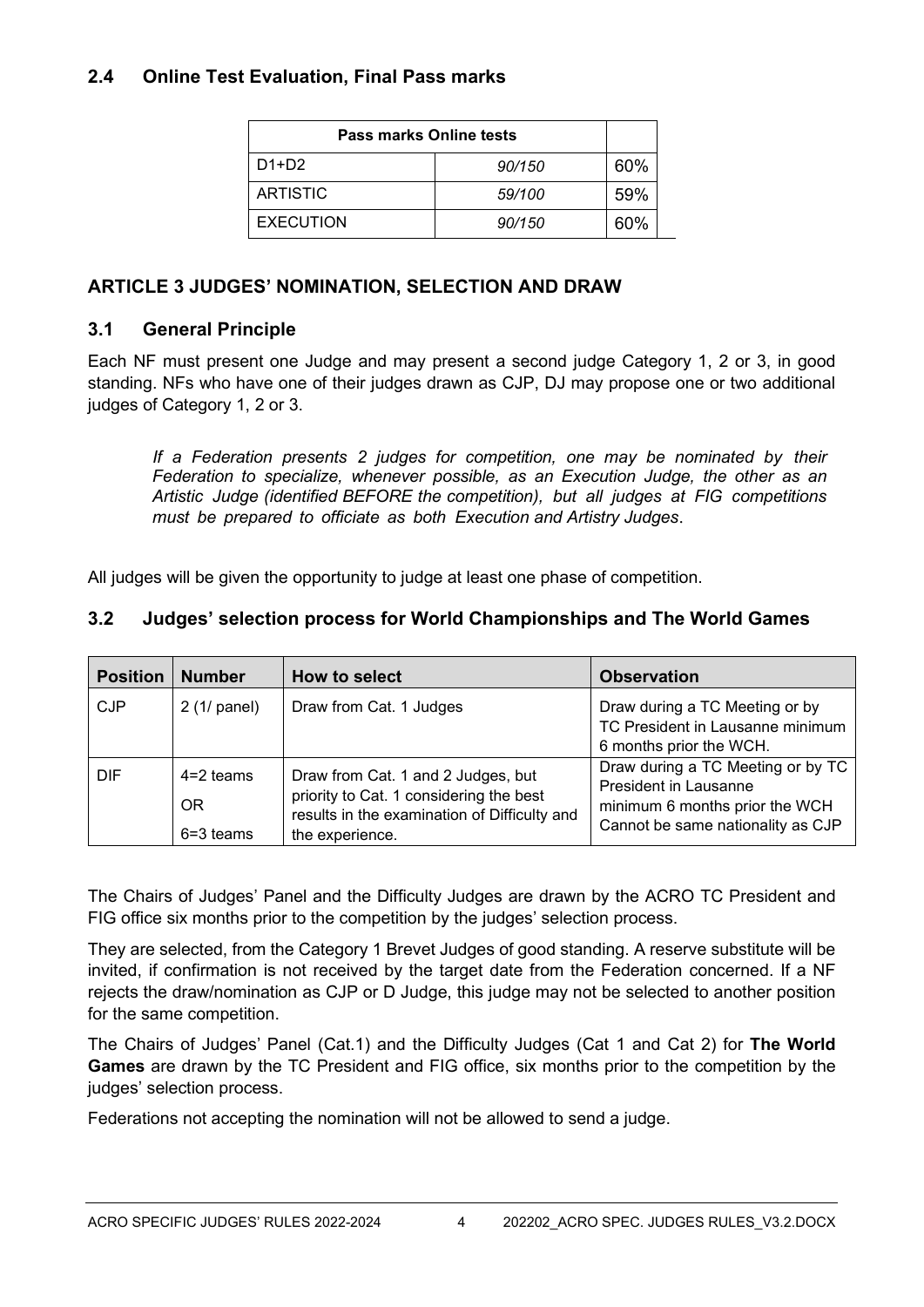### **2.4 Online Test Evaluation, Final Pass marks**

| Pass marks Online tests |        |     |  |  |  |  |  |
|-------------------------|--------|-----|--|--|--|--|--|
| D1+D2                   | 90/150 | 60% |  |  |  |  |  |
| <b>ARTISTIC</b>         | 59/100 | 59% |  |  |  |  |  |
| <b>EXECUTION</b>        | 90/150 | 60% |  |  |  |  |  |

## **ARTICLE 3 JUDGES' NOMINATION, SELECTION AND DRAW**

## **3.1 General Principle**

Each NF must present one Judge and may present a second judge Category 1, 2 or 3, in good standing. NFs who have one of their judges drawn as CJP, DJ may propose one or two additional judges of Category 1, 2 or 3.

*If a Federation presents 2 judges for competition, one may be nominated by their Federation to specialize, whenever possible, as an Execution Judge, the other as an Artistic Judge (identified BEFORE the competition), but all judges at FIG competitions must be prepared to officiate as both Execution and Artistry Judges*.

All judges will be given the opportunity to judge at least one phase of competition.

## **3.2 Judges' selection process for World Championships and The World Games**

| <b>Position</b> | <b>Number</b>                             | How to select                                                                                                                                    | <b>Observation</b>                                                                                                                       |
|-----------------|-------------------------------------------|--------------------------------------------------------------------------------------------------------------------------------------------------|------------------------------------------------------------------------------------------------------------------------------------------|
| <b>CJP</b>      | $2(1/$ panel)                             | Draw from Cat. 1 Judges                                                                                                                          | Draw during a TC Meeting or by<br>TC President in Lausanne minimum<br>6 months prior the WCH.                                            |
| <b>DIF</b>      | $4=2$ teams<br><b>OR</b><br>$6 = 3$ teams | Draw from Cat. 1 and 2 Judges, but<br>priority to Cat. 1 considering the best<br>results in the examination of Difficulty and<br>the experience. | Draw during a TC Meeting or by TC<br><b>President in Lausanne</b><br>minimum 6 months prior the WCH<br>Cannot be same nationality as CJP |

The Chairs of Judges' Panel and the Difficulty Judges are drawn by the ACRO TC President and FIG office six months prior to the competition by the judges' selection process.

They are selected, from the Category 1 Brevet Judges of good standing. A reserve substitute will be invited, if confirmation is not received by the target date from the Federation concerned. If a NF rejects the draw/nomination as CJP or D Judge, this judge may not be selected to another position for the same competition.

The Chairs of Judges' Panel (Cat.1) and the Difficulty Judges (Cat 1 and Cat 2) for **The World Games** are drawn by the TC President and FIG office, six months prior to the competition by the judges' selection process.

Federations not accepting the nomination will not be allowed to send a judge.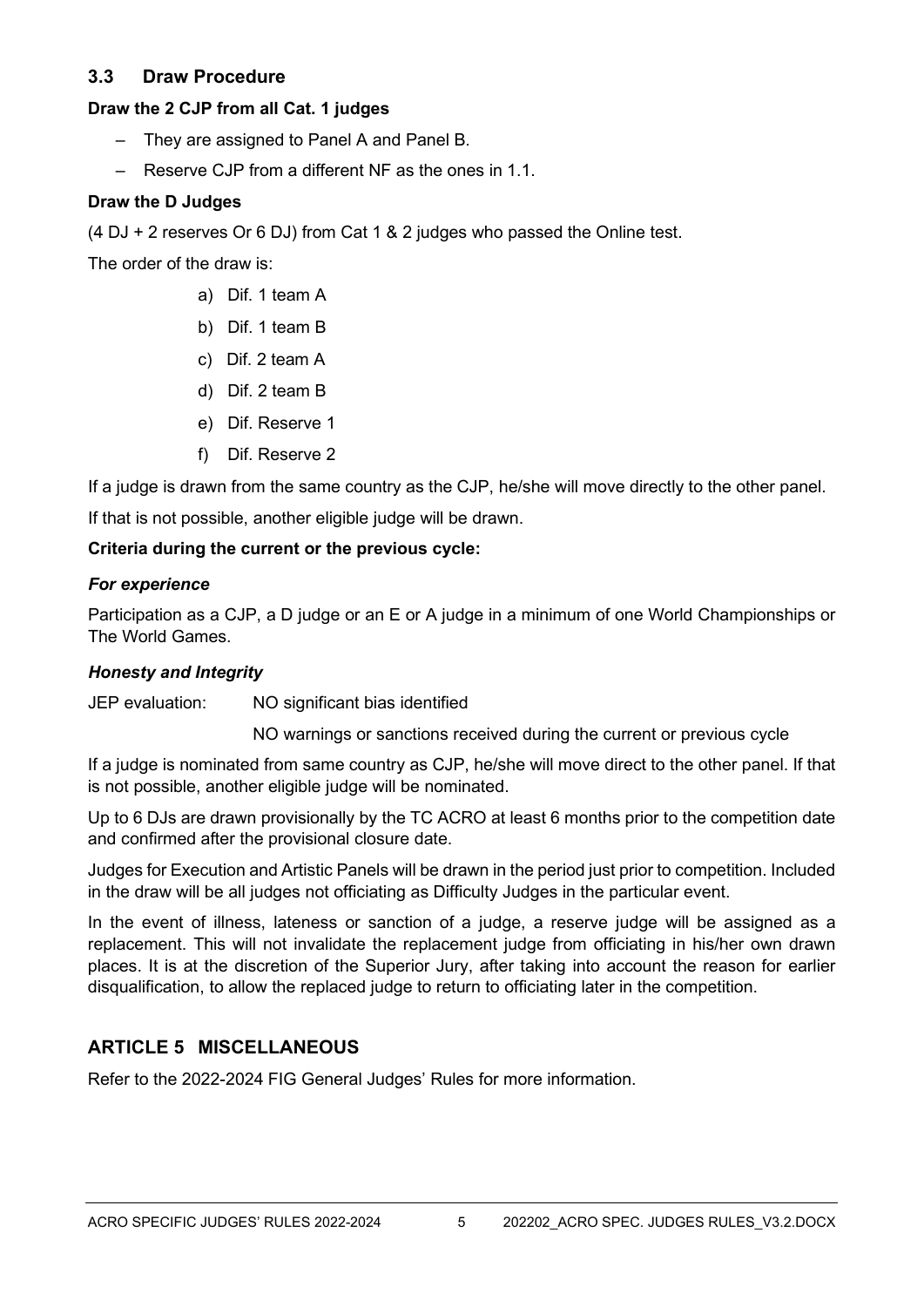## **3.3 Draw Procedure**

#### **Draw the 2 CJP from all Cat. 1 judges**

- They are assigned to Panel A and Panel B.
- Reserve CJP from a different NF as the ones in 1.1.

#### **Draw the D Judges**

(4 DJ + 2 reserves Or 6 DJ) from Cat 1 & 2 judges who passed the Online test.

The order of the draw is:

- a) Dif. 1 team A
- b) Dif. 1 team B
- c) Dif. 2 team A
- d) Dif. 2 team B
- e) Dif. Reserve 1
- f) Dif. Reserve 2

If a judge is drawn from the same country as the CJP, he/she will move directly to the other panel.

If that is not possible, another eligible judge will be drawn.

#### **Criteria during the current or the previous cycle:**

#### *For experience*

Participation as a CJP, a D judge or an E or A judge in a minimum of one World Championships or The World Games.

#### *Honesty and Integrity*

JEP evaluation: NO significant bias identified

NO warnings or sanctions received during the current or previous cycle

If a judge is nominated from same country as CJP, he/she will move direct to the other panel. If that is not possible, another eligible judge will be nominated.

Up to 6 DJs are drawn provisionally by the TC ACRO at least 6 months prior to the competition date and confirmed after the provisional closure date.

Judges for Execution and Artistic Panels will be drawn in the period just prior to competition. Included in the draw will be all judges not officiating as Difficulty Judges in the particular event.

In the event of illness, lateness or sanction of a judge, a reserve judge will be assigned as a replacement. This will not invalidate the replacement judge from officiating in his/her own drawn places. It is at the discretion of the Superior Jury, after taking into account the reason for earlier disqualification, to allow the replaced judge to return to officiating later in the competition.

## **ARTICLE 5 MISCELLANEOUS**

Refer to the 2022-2024 FIG General Judges' Rules for more information.